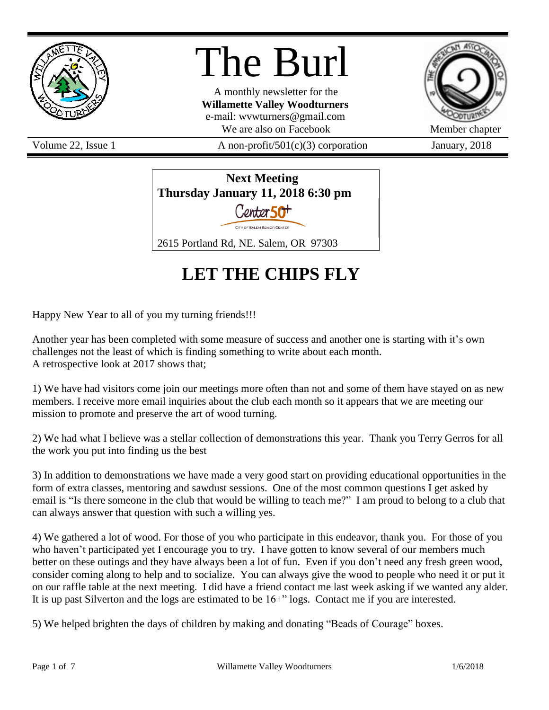

# The Burl

A monthly newsletter for the **Willamette Valley Woodturners** e-mail: wvwturners@gmail.com We are also on Facebook Member chapter



Volume 22, Issue 1 A non-profit/501(c)(3) corporation January, 2018



# **LET THE CHIPS FLY**

Happy New Year to all of you my turning friends!!!

Another year has been completed with some measure of success and another one is starting with it's own challenges not the least of which is finding something to write about each month. A retrospective look at 2017 shows that;

1) We have had visitors come join our meetings more often than not and some of them have stayed on as new members. I receive more email inquiries about the club each month so it appears that we are meeting our mission to promote and preserve the art of wood turning.

2) We had what I believe was a stellar collection of demonstrations this year. Thank you Terry Gerros for all the work you put into finding us the best

3) In addition to demonstrations we have made a very good start on providing educational opportunities in the form of extra classes, mentoring and sawdust sessions. One of the most common questions I get asked by email is "Is there someone in the club that would be willing to teach me?" I am proud to belong to a club that can always answer that question with such a willing yes.

4) We gathered a lot of wood. For those of you who participate in this endeavor, thank you. For those of you who haven't participated yet I encourage you to try. I have gotten to know several of our members much better on these outings and they have always been a lot of fun. Even if you don't need any fresh green wood, consider coming along to help and to socialize. You can always give the wood to people who need it or put it on our raffle table at the next meeting. I did have a friend contact me last week asking if we wanted any alder. It is up past Silverton and the logs are estimated to be 16+" logs. Contact me if you are interested.

5) We helped brighten the days of children by making and donating "Beads of Courage" boxes.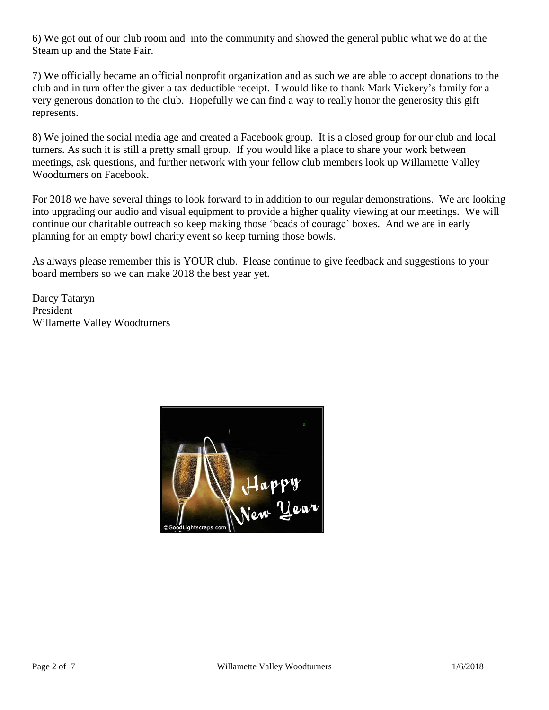6) We got out of our club room and into the community and showed the general public what we do at the Steam up and the State Fair.

7) We officially became an official nonprofit organization and as such we are able to accept donations to the club and in turn offer the giver a tax deductible receipt. I would like to thank Mark Vickery's family for a very generous donation to the club. Hopefully we can find a way to really honor the generosity this gift represents.

8) We joined the social media age and created a Facebook group. It is a closed group for our club and local turners. As such it is still a pretty small group. If you would like a place to share your work between meetings, ask questions, and further network with your fellow club members look up Willamette Valley Woodturners on Facebook.

For 2018 we have several things to look forward to in addition to our regular demonstrations. We are looking into upgrading our audio and visual equipment to provide a higher quality viewing at our meetings. We will continue our charitable outreach so keep making those 'beads of courage' boxes. And we are in early planning for an empty bowl charity event so keep turning those bowls.

As always please remember this is YOUR club. Please continue to give feedback and suggestions to your board members so we can make 2018 the best year yet.

Darcy Tataryn President Willamette Valley Woodturners

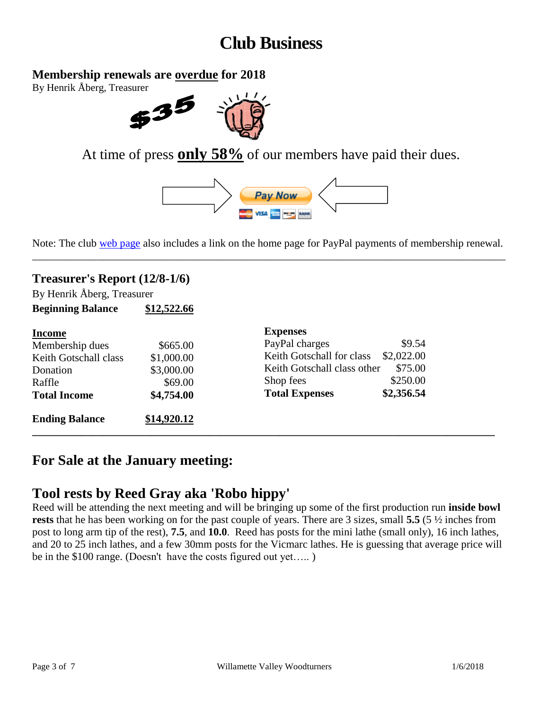# **Club Business**

# **Membership renewals are overdue for 2018**

By Henrik Åberg, Treasurer



At time of press **only 58%** of our members have paid their dues.



Note: The club [web page](http://www.willamettevalleywoodturners.com/) also includes a link on the home page for PayPal payments of membership renewal. \_\_\_\_\_\_\_\_\_\_\_\_\_\_\_\_\_\_\_\_\_\_\_\_\_\_\_\_\_\_\_\_\_\_\_\_\_\_\_\_\_\_\_\_\_\_\_\_\_\_\_\_\_\_\_\_\_\_\_\_\_\_\_\_\_\_\_\_\_\_\_\_\_\_\_\_\_\_\_\_\_\_\_\_\_\_\_\_

### **Treasurer's Report (12/8-1/6)**

By Henrik Åberg, Treasurer

**Beginning Balance \$12,522.66**

| <b>Income</b>         |             | <b>Expenses</b>                        |            |  |
|-----------------------|-------------|----------------------------------------|------------|--|
| Membership dues       | \$665.00    | PayPal charges                         | \$9.54     |  |
| Keith Gotschall class | \$1,000.00  | Keith Gotschall for class              | \$2,022.00 |  |
| Donation              | \$3,000.00  | \$75.00<br>Keith Gotschall class other |            |  |
| Raffle                | \$69.00     | Shop fees                              | \$250.00   |  |
| <b>Total Income</b>   | \$4,754.00  | <b>Total Expenses</b>                  | \$2,356.54 |  |
| <b>Ending Balance</b> | \$14,920.12 |                                        |            |  |

# **For Sale at the January meeting:**

# **Tool rests by Reed Gray aka 'Robo hippy'**

Reed will be attending the next meeting and will be bringing up some of the first production run **inside bowl rests** that he has been working on for the past couple of years. There are 3 sizes, small **5.5** (5 ½ inches from post to long arm tip of the rest), **7.5**, and **10.0**. Reed has posts for the mini lathe (small only), 16 inch lathes, and 20 to 25 inch lathes, and a few 30mm posts for the Vicmarc lathes. He is guessing that average price will be in the \$100 range. (Doesn't have the costs figured out yet….. )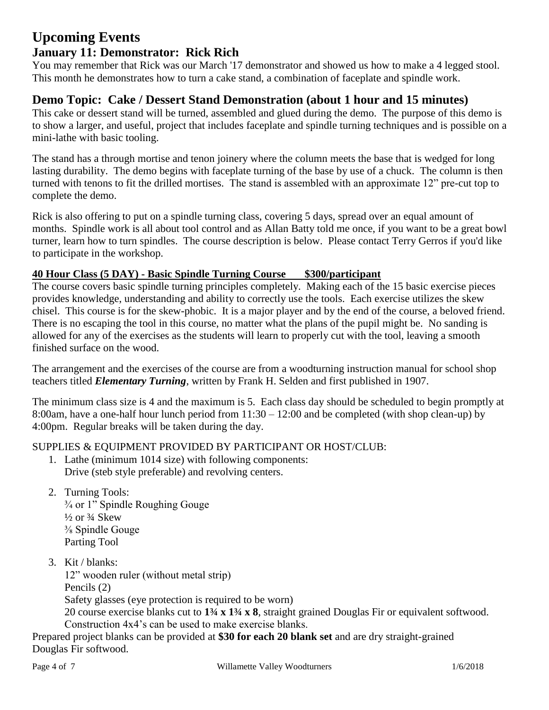# **Upcoming Events January 11: Demonstrator: Rick Rich**

You may remember that Rick was our March '17 demonstrator and showed us how to make a 4 legged stool. This month he demonstrates how to turn a cake stand, a combination of faceplate and spindle work.

# **Demo Topic: Cake / Dessert Stand Demonstration (about 1 hour and 15 minutes)**

This cake or dessert stand will be turned, assembled and glued during the demo. The purpose of this demo is to show a larger, and useful, project that includes faceplate and spindle turning techniques and is possible on a mini-lathe with basic tooling.

The stand has a through mortise and tenon joinery where the column meets the base that is wedged for long lasting durability. The demo begins with faceplate turning of the base by use of a chuck. The column is then turned with tenons to fit the drilled mortises. The stand is assembled with an approximate 12" pre-cut top to complete the demo.

Rick is also offering to put on a spindle turning class, covering 5 days, spread over an equal amount of months. Spindle work is all about tool control and as Allan Batty told me once, if you want to be a great bowl turner, learn how to turn spindles. The course description is below. Please contact Terry Gerros if you'd like to participate in the workshop.

#### **40 Hour Class (5 DAY) - Basic Spindle Turning Course \$300/participant**

The course covers basic spindle turning principles completely. Making each of the 15 basic exercise pieces provides knowledge, understanding and ability to correctly use the tools. Each exercise utilizes the skew chisel. This course is for the skew-phobic. It is a major player and by the end of the course, a beloved friend. There is no escaping the tool in this course, no matter what the plans of the pupil might be. No sanding is allowed for any of the exercises as the students will learn to properly cut with the tool, leaving a smooth finished surface on the wood.

The arrangement and the exercises of the course are from a woodturning instruction manual for school shop teachers titled *Elementary Turning*, written by Frank H. Selden and first published in 1907.

The minimum class size is 4 and the maximum is 5. Each class day should be scheduled to begin promptly at 8:00am, have a one-half hour lunch period from 11:30 – 12:00 and be completed (with shop clean-up) by 4:00pm. Regular breaks will be taken during the day.

### SUPPLIES & EQUIPMENT PROVIDED BY PARTICIPANT OR HOST/CLUB:

- 1. Lathe (minimum 1014 size) with following components: Drive (steb style preferable) and revolving centers.
- 2. Turning Tools: ¾ or 1" Spindle Roughing Gouge  $\frac{1}{2}$  or  $\frac{3}{4}$  Skew ⅜ Spindle Gouge Parting Tool
- 3. Kit / blanks:

12" wooden ruler (without metal strip) Pencils (2)

Safety glasses (eye protection is required to be worn)

20 course exercise blanks cut to **1¾ x 1¾ x 8**, straight grained Douglas Fir or equivalent softwood. Construction 4x4's can be used to make exercise blanks.

Prepared project blanks can be provided at **\$30 for each 20 blank set** and are dry straight-grained Douglas Fir softwood.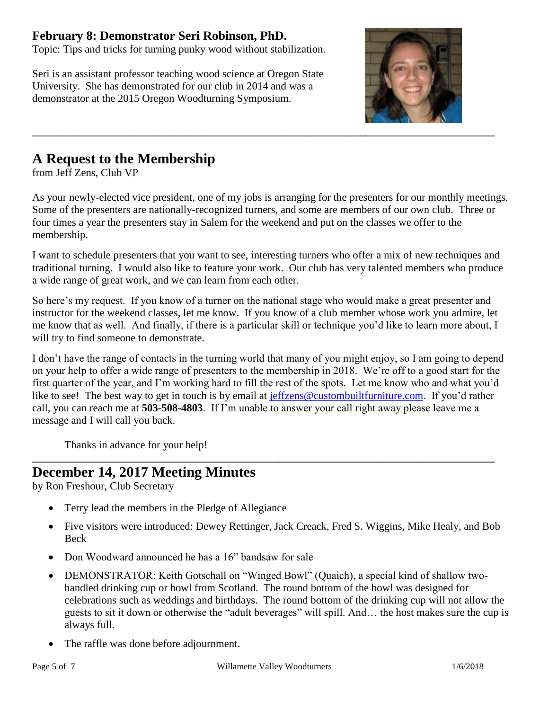# **February 8: Demonstrator Seri Robinson, PhD.**

Topic: Tips and tricks for turning punky wood without stabilization.

Seri is an assistant professor teaching wood science at Oregon State University. She has demonstrated for our club in 2014 and was a demonstrator at the 2015 Oregon Woodturning Symposium.



# **A Request to the Membership**

from Jeff Zens, Club VP

As your newly-elected vice president, one of my jobs is arranging for the presenters for our monthly meetings. Some of the presenters are nationally-recognized turners, and some are members of our own club. Three or four times a year the presenters stay in Salem for the weekend and put on the classes we offer to the membership.

I want to schedule presenters that you want to see, interesting turners who offer a mix of new techniques and traditional turning. I would also like to feature your work. Our club has very talented members who produce a wide range of great work, and we can learn from each other.

So here's my request. If you know of a turner on the national stage who would make a great presenter and instructor for the weekend classes, let me know. If you know of a club member whose work you admire, let me know that as well. And finally, if there is a particular skill or technique you'd like to learn more about, I will try to find someone to demonstrate.

I don't have the range of contacts in the turning world that many of you might enjoy, so I am going to depend on your help to offer a wide range of presenters to the membership in 2018. We're off to a good start for the first quarter of the year, and I'm working hard to fill the rest of the spots. Let me know who and what you'd like to see! The best way to get in touch is by email at [jeffzens@custombuiltfurniture.com.](mailto:jeffzens@custombuiltfurniture.com) If you'd rather call, you can reach me at **503-508-4803**. If I'm unable to answer your call right away please leave me a message and I will call you back.

**\_\_\_\_\_\_\_\_\_\_\_\_\_\_\_\_\_\_\_\_\_\_\_\_\_\_\_\_\_\_\_\_\_\_\_\_\_\_\_\_\_\_\_\_\_\_\_\_\_\_\_\_\_\_\_\_\_\_\_\_\_\_\_\_\_\_\_\_\_\_\_\_\_\_\_\_\_\_\_\_\_\_\_\_\_\_**

Thanks in advance for your help!

# **December 14, 2017 Meeting Minutes**

by Ron Freshour, Club Secretary

- Terry lead the members in the Pledge of Allegiance
- Five visitors were introduced: Dewey Rettinger, Jack Creack, Fred S. Wiggins, Mike Healy, and Bob Beck
- Don Woodward announced he has a 16" bandsaw for sale
- DEMONSTRATOR: Keith Gotschall on "Winged Bowl" (Quaich), a special kind of shallow twohandled drinking cup or bowl from Scotland. The round bottom of the bowl was designed for celebrations such as weddings and birthdays. The round bottom of the drinking cup will not allow the guests to sit it down or otherwise the "adult beverages" will spill. And… the host makes sure the cup is always full.
- The raffle was done before adjournment.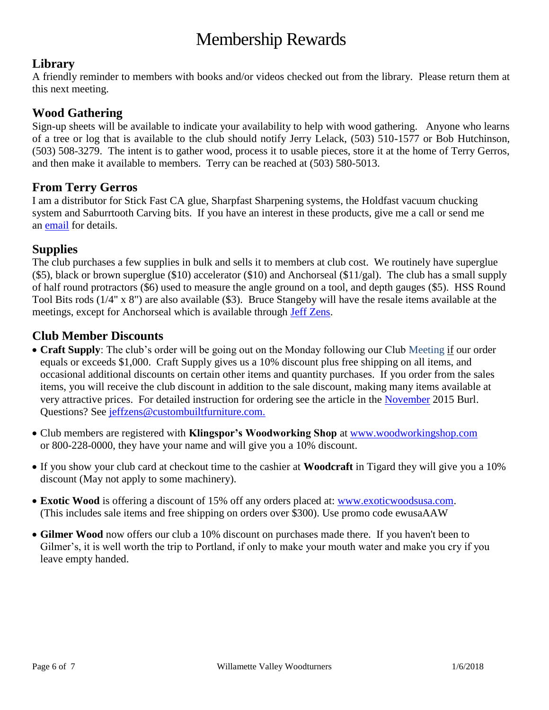# Membership Rewards

# **Library**

A friendly reminder to members with books and/or videos checked out from the library. Please return them at this next meeting.

## **Wood Gathering**

Sign-up sheets will be available to indicate your availability to help with wood gathering. Anyone who learns of a tree or log that is available to the club should notify Jerry Lelack, (503) 510-1577 or Bob Hutchinson, (503) 508-3279. The intent is to gather wood, process it to usable pieces, store it at the home of Terry Gerros, and then make it available to members. Terry can be reached at (503) 580-5013.

## **From Terry Gerros**

I am a distributor for Stick Fast CA glue, Sharpfast Sharpening systems, the Holdfast vacuum chucking system and Saburrtooth Carving bits. If you have an interest in these products, give me a call or send me an [email](mailto:gerrost@yahoo.com) for details.

# **Supplies**

The club purchases a few supplies in bulk and sells it to members at club cost. We routinely have superglue (\$5), black or brown superglue (\$10) accelerator (\$10) and Anchorseal (\$11/gal). The club has a small supply of half round protractors (\$6) used to measure the angle ground on a tool, and depth gauges (\$5). HSS Round Tool Bits rods (1/4" x 8") are also available (\$3). Bruce Stangeby will have the resale items available at the meetings, except for Anchorseal which is available through [Jeff Zens.](mailto:jszens@custombuiltfurniture.com)

# **Club Member Discounts**

- **Craft Supply**: The club's order will be going out on the Monday following our Club Meeting if our order equals or exceeds \$1,000. Craft Supply gives us a 10% discount plus free shipping on all items, and occasional additional discounts on certain other items and quantity purchases. If you order from the sales items, you will receive the club discount in addition to the sale discount, making many items available at very attractive prices. For detailed instruction for ordering see the article in the [November](http://www.willamettevalleywoodturners.com/newsletters/2015_11_WVW_Newsletter.pdf) 2015 Burl. Questions? See [jeffzens@custombuiltfurniture.com.](mailto:jeffzens@custombuiltfurniture.com.)
- Club members are registered with **Klingspor's Woodworking Shop** at [www.woodworkingshop.com](http://www.woodworkingshop.com/)  or 800-228-0000, they have your name and will give you a 10% discount.
- If you show your club card at checkout time to the cashier at **Woodcraft** in Tigard they will give you a 10% discount (May not apply to some machinery).
- **Exotic Wood** is offering a discount of 15% off any orders placed at: [www.exoticwoodsusa.com.](http://www.exoticwoodsusa.com/) (This includes sale items and free shipping on orders over \$300). Use promo code ewusaAAW
- **Gilmer Wood** now offers our club a 10% discount on purchases made there. If you haven't been to Gilmer's, it is well worth the trip to Portland, if only to make your mouth water and make you cry if you leave empty handed.